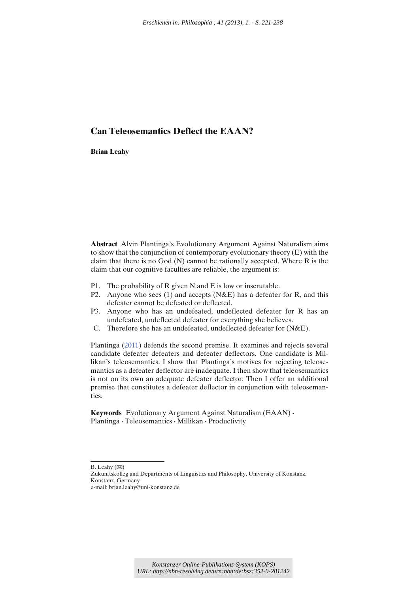# **Can Teleosemantics Deflect the EAAN?**

## **Brian Leahy**

**Abstract** Alvin Plantinga's Evolutionary Argument Against Naturalism aims to show that the conjunction of contemporary evolutionary theory (E) with the claim that there is no God (N) cannot be rationally accepted. Where R is the claim that our cognitive faculties are reliable, the argument is:

- P1. The probability of R given N and E is low or inscrutable.
- P2. Anyone who sees (1) and accepts  $(N&E)$  has a defeater for R, and this defeater cannot be defeated or deflected.
- P3. Anyone who has an undefeated, undeflected defeater for R has an undefeated, undeflected defeater for everything she believes.
- C. Therefore she has an undefeated, undeflected defeater for (N&E).

Plantinga (2011) defends the second premise. It examines and rejects several candidate defeater defeaters and defeater deflectors. One candidate is Millikan's teleosemantics. I show that Plantinga's motives for rejecting teleosemantics as a defeater deflector are inadequate. I then show that teleosemantics is not on its own an adequate defeater deflector. Then I offer an additional premise that constitutes a defeater deflector in conjunction with teleosemantics.

**Keywords** Evolutionary Argument Against Naturalism (EAAN) **·** Plantinga **·** Teleosemantics **·** Millikan **·** Productivity

B. Leahy  $(\boxtimes)$ 

Zukunftskolleg and Departments of Linguistics and Philosophy, University of Konstanz, Konstanz, Germany e-mail: brian.leahy@uni-konstanz.de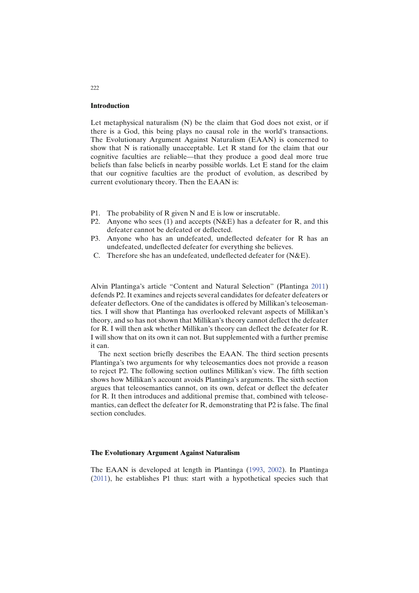## **Introduction**

Let metaphysical naturalism (N) be the claim that God does not exist, or if there is a God, this being plays no causal role in the world's transactions. The Evolutionary Argument Against Naturalism (EAAN) is concerned to show that N is rationally unacceptable. Let R stand for the claim that our cognitive faculties are reliable—that they produce a good deal more true beliefs than false beliefs in nearby possible worlds. Let E stand for the claim that our cognitive faculties are the product of evolution, as described by current evolutionary theory. Then the EAAN is:

- P1. The probability of R given N and E is low or inscrutable.
- P2. Anyone who sees (1) and accepts ( $N&E$ ) has a defeater for R, and this defeater cannot be defeated or deflected.
- P3. Anyone who has an undefeated, undeflected defeater for R has an undefeated, undeflected defeater for everything she believes.
- C. Therefore she has an undefeated, undeflected defeater for (N&E).

Alvin Plantinga's article "Content and Natural Selection" (Plantinga 2011) defends P2. It examines and rejects several candidates for defeater defeaters or defeater deflectors. One of the candidates is offered by Millikan's teleosemantics. I will show that Plantinga has overlooked relevant aspects of Millikan's theory, and so has not shown that Millikan's theory cannot deflect the defeater for R. I will then ask whether Millikan's theory can deflect the defeater for R. I will show that on its own it can not. But supplemented with a further premise it can.

The next section briefly describes the EAAN. The third section presents Plantinga's two arguments for why teleosemantics does not provide a reason to reject P2. The following section outlines Millikan's view. The fifth section shows how Millikan's account avoids Plantinga's arguments. The sixth section argues that teleosemantics cannot, on its own, defeat or deflect the defeater for R. It then introduces and additional premise that, combined with teleosemantics, can deflect the defeater for R, demonstrating that P2 is false. The final section concludes.

#### **The Evolutionary Argument Against Naturalism**

The EAAN is developed at length in Plantinga (1993, 2002). In Plantinga (2011), he establishes P1 thus: start with a hypothetical species such that

#### $222$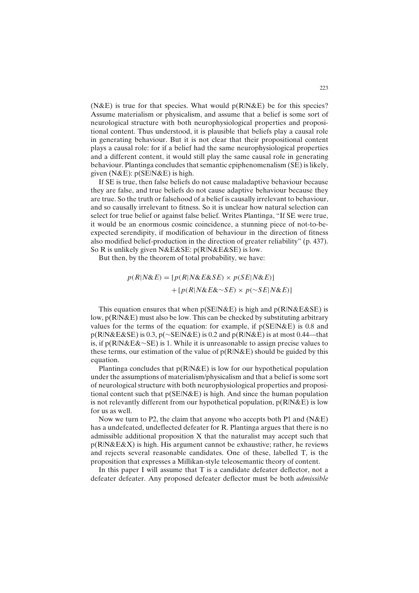( $N\&E$ ) is true for that species. What would  $p(R|N\&E)$  be for this species? Assume materialism or physicalism, and assume that a belief is some sort of neurological structure with both neurophysiological properties and propositional content. Thus understood, it is plausible that beliefs play a causal role in generating behaviour. But it is not clear that their propositional content plays a causal role: for if a belief had the same neurophysiological properties and a different content, it would still play the same causal role in generating behaviour. Plantinga concludes that semantic epiphenomenalism (SE) is likely, given (N&E): p(SE|N&E) is high.

If SE is true, then false beliefs do not cause maladaptive behaviour because they are false, and true beliefs do not cause adaptive behaviour because they are true. So the truth or falsehood of a belief is causally irrelevant to behaviour, and so causally irrelevant to fitness. So it is unclear how natural selection can select for true belief or against false belief. Writes Plantinga, "If SE were true, it would be an enormous cosmic coincidence, a stunning piece of not-to-beexpected serendipity, if modification of behaviour in the direction of fitness also modified belief-production in the direction of greater reliability" (p. 437). So R is unlikely given N&E&SE: p(R|N&E&SE) is low.

But then, by the theorem of total probability, we have:

$$
p(R|N\&E) = [p(R|N\&E\&SE) \times p(SE|N\&E)]
$$

$$
+ [p(R|N\&E\&\sim SE) \times p(\sim SE|N\&E)]
$$

This equation ensures that when  $p(SE|N&E)$  is high and  $p(R|N&E&SE)$  is low, p(R|N&E) must also be low. This can be checked by substituting arbitrary values for the terms of the equation: for example, if  $p(SEN&E)$  is 0.8 and p(R|N&E&SE) is 0.3, p(∼SE|N&E) is 0.2 and p(R|N&E) is at most 0.44—that is, if p(R|N&E&∼SE) is 1. While it is unreasonable to assign precise values to these terms, our estimation of the value of  $p(R|N&E)$  should be guided by this equation.

Plantinga concludes that  $p(R|N&E)$  is low for our hypothetical population under the assumptions of materialism/physicalism and that a belief is some sort of neurological structure with both neurophysiological properties and propositional content such that  $p(SE|N&E)$  is high. And since the human population is not relevantly different from our hypothetical population,  $p(R|N&E)$  is low for us as well.

Now we turn to P2, the claim that anyone who accepts both P1 and (N&E) has a undefeated, undeflected defeater for R. Plantinga argues that there is no admissible additional proposition X that the naturalist may accept such that  $p(R|N&E&X)$  is high. His argument cannot be exhaustive; rather, he reviews and rejects several reasonable candidates. One of these, labelled T, is the proposition that expresses a Millikan-style teleosemantic theory of content.

In this paper I will assume that T is a candidate defeater deflector, not a defeater defeater. Any proposed defeater deflector must be both *admissible*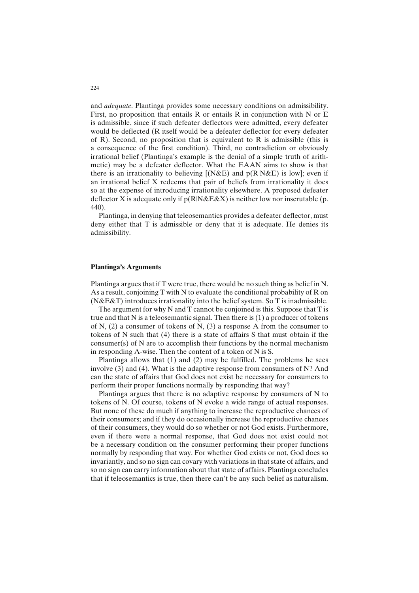and *adequate*. Plantinga provides some necessary conditions on admissibility. First, no proposition that entails R or entails R in conjunction with N or E is admissible, since if such defeater deflectors were admitted, every defeater would be deflected (R itself would be a defeater deflector for every defeater of R). Second, no proposition that is equivalent to R is admissible (this is a consequence of the first condition). Third, no contradiction or obviously irrational belief (Plantinga's example is the denial of a simple truth of arithmetic) may be a defeater deflector. What the EAAN aims to show is that there is an irrationality to believing  $[(N&E)$  and  $p(R)N&E)$  is low]; even if an irrational belief X redeems that pair of beliefs from irrationality it does so at the expense of introducing irrationality elsewhere. A proposed defeater deflector X is adequate only if  $p(R|N\&E\&X)$  is neither low nor inscrutable (p. 440).

Plantinga, in denying that teleosemantics provides a defeater deflector, must deny either that T is admissible or deny that it is adequate. He denies its admissibility.

## **Plantinga's Arguments**

Plantinga argues that if T were true, there would be no such thing as belief in N. As a result, conjoining T with N to evaluate the conditional probability of R on (N&E&T) introduces irrationality into the belief system. So T is inadmissible.

The argument for why N and T cannot be conjoined is this. Suppose that T is true and that  $N$  is a teleosemantic signal. Then there is  $(1)$  a producer of tokens of N,  $(2)$  a consumer of tokens of N,  $(3)$  a response A from the consumer to tokens of N such that (4) there is a state of affairs S that must obtain if the consumer(s) of N are to accomplish their functions by the normal mechanism in responding A-wise. Then the content of a token of N is S.

Plantinga allows that (1) and (2) may be fulfilled. The problems he sees involve (3) and (4). What is the adaptive response from consumers of N? And can the state of affairs that God does not exist be necessary for consumers to perform their proper functions normally by responding that way?

Plantinga argues that there is no adaptive response by consumers of N to tokens of N. Of course, tokens of N evoke a wide range of actual responses. But none of these do much if anything to increase the reproductive chances of their consumers; and if they do occasionally increase the reproductive chances of their consumers, they would do so whether or not God exists. Furthermore, even if there were a normal response, that God does not exist could not be a necessary condition on the consumer performing their proper functions normally by responding that way. For whether God exists or not, God does so invariantly, and so no sign can covary with variations in that state of affairs, and so no sign can carry information about that state of affairs. Plantinga concludes that if teleosemantics is true, then there can't be any such belief as naturalism.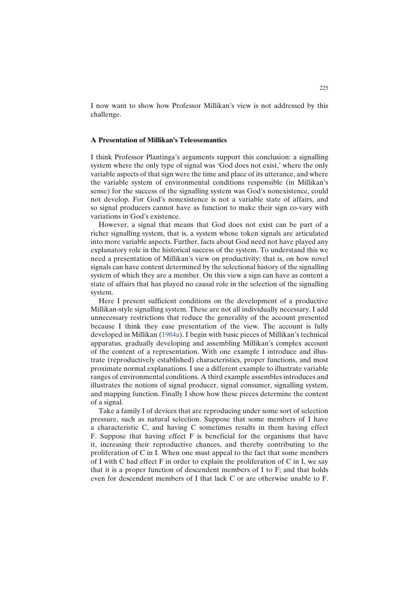I now want to show how Professor Millikan's view is not addressed by this challenge.

### **A Presentation of Millikan's Teleosemantics**

I think Professor Plantinga's arguments support this conclusion: a signalling system where the only type of signal was 'God does not exist,' where the only variable aspects of that sign were the time and place of its utterance, and where the variable system of environmental conditions responsible (in Millikan's sense) for the success of the signalling system was God's nonexistence, could not develop. For God's nonexistence is not a variable state of affairs, and so signal producers cannot have as function to make their sign co-vary with variations in God's existence.

However, a signal that means that God does not exist can be part of a richer signalling system, that is, a system whose token signals are articulated into more variable aspects. Further, facts about God need not have played any explanatory role in the historical success of the system. To understand this we need a presentation of Millikan's view on productivity: that is, on how novel signals can have content determined by the selectional history of the signalling system of which they are a member. On this view a sign can have as content a state of affairs that has played no causal role in the selection of the signalling system.

Here I present sufficient conditions on the development of a productive Millikan-style signalling system. These are not all individually necessary. I add unnecessary restrictions that reduce the generality of the account presented because I think they ease presentation of the view. The account is fully developed in Millikan (1984a). I begin with basic pieces of Millikan's technical apparatus, gradually developing and assembling Millikan's complex account of the content of a representation. With one example I introduce and illustrate (reproductively established) characteristics, proper functions, and most proximate normal explanations. I use a different example to illustrate variable ranges of environmental conditions. A third example assembles introduces and illustrates the notions of signal producer, signal consumer, signalling system, and mapping function. Finally I show how these pieces determine the content of a signal.

Take a family I of devices that are reproducing under some sort of selection pressure, such as natural selection. Suppose that some members of I have a characteristic C, and having C sometimes results in them having effect F. Suppose that having effect F is beneficial for the organisms that have it, increasing their reproductive chances, and thereby contributing to the proliferation of C in I. When one must appeal to the fact that some members of I with C had effect F in order to explain the proliferation of C in I, we say that it is a proper function of descendent members of I to F; and that holds even for descendent members of I that lack C or are otherwise unable to F.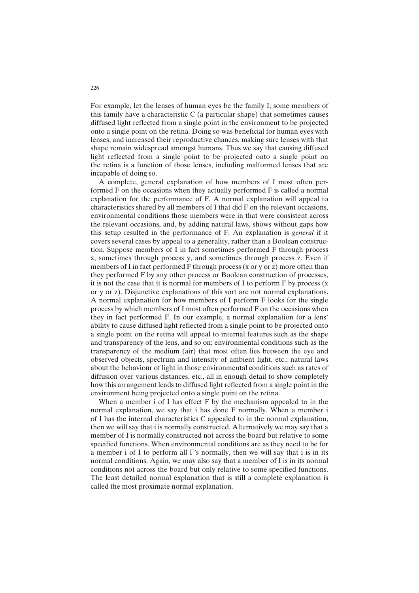For example, let the lenses of human eyes be the family I; some members of this family have a characteristic C (a particular shape) that sometimes causes diffused light reflected from a single point in the environment to be projected onto a single point on the retina. Doing so was beneficial for human eyes with lenses, and increased their reproductive chances, making sure lenses with that shape remain widespread amongst humans. Thus we say that causing diffused light reflected from a single point to be projected onto a single point on the retina is a function of those lenses, including malformed lenses that are incapable of doing so.

A complete, general explanation of how members of I most often performed F on the occasions when they actually performed F is called a normal explanation for the performance of F. A normal explanation will appeal to characteristics shared by all members of I that did F on the relevant occasions, environmental conditions those members were in that were consistent across the relevant occasions, and, by adding natural laws, shows without gaps how this setup resulted in the performance of F. An explanation is *general* if it covers several cases by appeal to a generality, rather than a Boolean construction. Suppose members of I in fact sometimes performed F through process x, sometimes through process y, and sometimes through process z. Even if members of I in fact performed F through process (x or y or z) more often than they performed F by any other process or Boolean construction of processes, it is not the case that it is normal for members of I to perform F by process (x or y or z). Disjunctive explanations of this sort are not normal explanations. A normal explanation for how members of I perform F looks for the single process by which members of I most often performed F on the occasions when they in fact performed F. In our example, a normal explanation for a lens' ability to cause diffused light reflected from a single point to be projected onto a single point on the retina will appeal to internal features such as the shape and transparency of the lens, and so on; environmental conditions such as the transparency of the medium (air) that most often lies between the eye and observed objects, spectrum and intensity of ambient light, etc.; natural laws about the behaviour of light in those environmental conditions such as rates of diffusion over various distances, etc., all in enough detail to show completely how this arrangement leads to diffused light reflected from a single point in the environment being projected onto a single point on the retina.

When a member i of I has effect F by the mechanism appealed to in the normal explanation, we say that i has done F normally. When a member i of I has the internal characteristics C appealed to in the normal explanation, then we will say that i is normally constructed. Alternatively we may say that a member of I is normally constructed not across the board but relative to some specified functions. When environmental conditions are as they need to be for a member i of I to perform all F's normally, then we will say that i is in its normal conditions. Again, we may also say that a member of I is in its normal conditions not across the board but only relative to some specified functions. The least detailed normal explanation that is still a complete explanation is called the most proximate normal explanation.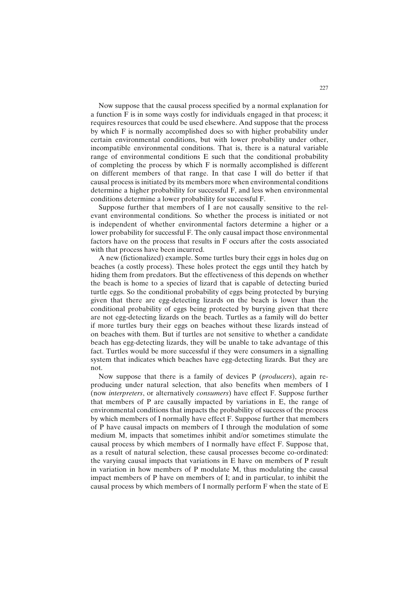Now suppose that the causal process specified by a normal explanation for a function F is in some ways costly for individuals engaged in that process; it requires resources that could be used elsewhere. And suppose that the process by which F is normally accomplished does so with higher probability under certain environmental conditions, but with lower probability under other, incompatible environmental conditions. That is, there is a natural variable range of environmental conditions E such that the conditional probability of completing the process by which F is normally accomplished is different on different members of that range. In that case I will do better if that causal process is initiated by its members more when environmental conditions determine a higher probability for successful F, and less when environmental conditions determine a lower probability for successful F.

Suppose further that members of I are not causally sensitive to the relevant environmental conditions. So whether the process is initiated or not is independent of whether environmental factors determine a higher or a lower probability for successful F. The only causal impact those environmental factors have on the process that results in F occurs after the costs associated with that process have been incurred.

A new (fictionalized) example. Some turtles bury their eggs in holes dug on beaches (a costly process). These holes protect the eggs until they hatch by hiding them from predators. But the effectiveness of this depends on whether the beach is home to a species of lizard that is capable of detecting buried turtle eggs. So the conditional probability of eggs being protected by burying given that there are egg-detecting lizards on the beach is lower than the conditional probability of eggs being protected by burying given that there are not egg-detecting lizards on the beach. Turtles as a family will do better if more turtles bury their eggs on beaches without these lizards instead of on beaches with them. But if turtles are not sensitive to whether a candidate beach has egg-detecting lizards, they will be unable to take advantage of this fact. Turtles would be more successful if they were consumers in a signalling system that indicates which beaches have egg-detecting lizards. But they are not.

Now suppose that there is a family of devices P (*producers*), again reproducing under natural selection, that also benefits when members of I (now *interpreters*, or alternatively *consumers*) have effect F. Suppose further that members of P are causally impacted by variations in E, the range of environmental conditions that impacts the probability of success of the process by which members of I normally have effect F. Suppose further that members of P have causal impacts on members of I through the modulation of some medium M, impacts that sometimes inhibit and/or sometimes stimulate the causal process by which members of I normally have effect F. Suppose that, as a result of natural selection, these causal processes become co-ordinated: the varying causal impacts that variations in E have on members of P result in variation in how members of P modulate M, thus modulating the causal impact members of P have on members of I; and in particular, to inhibit the causal process by which members of I normally perform F when the state of E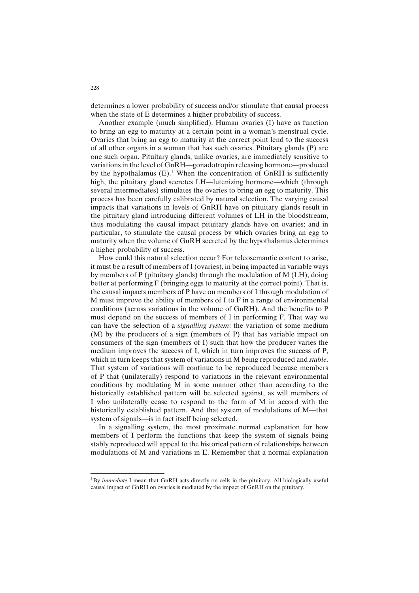determines a lower probability of success and/or stimulate that causal process when the state of E determines a higher probability of success.

Another example (much simplified). Human ovaries (I) have as function to bring an egg to maturity at a certain point in a woman's menstrual cycle. Ovaries that bring an egg to maturity at the correct point lend to the success of all other organs in a woman that has such ovaries. Pituitary glands (P) are one such organ. Pituitary glands, unlike ovaries, are immediately sensitive to variations in the level of GnRH—gonadotropin releasing hormone—produced by the hypothalamus  $(E)$ .<sup>1</sup> When the concentration of GnRH is sufficiently high, the pituitary gland secretes LH—lutenizing hormone—which (through several intermediates) stimulates the ovaries to bring an egg to maturity. This process has been carefully calibrated by natural selection. The varying causal impacts that variations in levels of GnRH have on pituitary glands result in the pituitary gland introducing different volumes of LH in the bloodstream, thus modulating the causal impact pituitary glands have on ovaries; and in particular, to stimulate the causal process by which ovaries bring an egg to maturity when the volume of GnRH secreted by the hypothalamus determines a higher probability of success.

How could this natural selection occur? For teleosemantic content to arise, it must be a result of members of I (ovaries), in being impacted in variable ways by members of P (pituitary glands) through the modulation of M (LH), doing better at performing F (bringing eggs to maturity at the correct point). That is, the causal impacts members of P have on members of I through modulation of M must improve the ability of members of  $I$  to  $F$  in a range of environmental conditions (across variations in the volume of GnRH). And the benefits to P must depend on the success of members of I in performing F. That way we can have the selection of a *signalling system*: the variation of some medium (M) by the producers of a sign (members of P) that has variable impact on consumers of the sign (members of I) such that how the producer varies the medium improves the success of I, which in turn improves the success of P, which in turn keeps that system of variations in M being reproduced and *stable*. That system of variations will continue to be reproduced because members of P that (unilaterally) respond to variations in the relevant environmental conditions by modulating M in some manner other than according to the historically established pattern will be selected against, as will members of I who unilaterally cease to respond to the form of M in accord with the historically established pattern. And that system of modulations of M—that system of signals—is in fact itself being selected.

In a signalling system, the most proximate normal explanation for how members of I perform the functions that keep the system of signals being stably reproduced will appeal to the historical pattern of relationships between modulations of M and variations in E. Remember that a normal explanation

228

<sup>1</sup>By *immediate* I mean that GnRH acts directly on cells in the pituitary. All biologically useful causal impact of GnRH on ovaries is mediated by the impact of GnRH on the pituitary.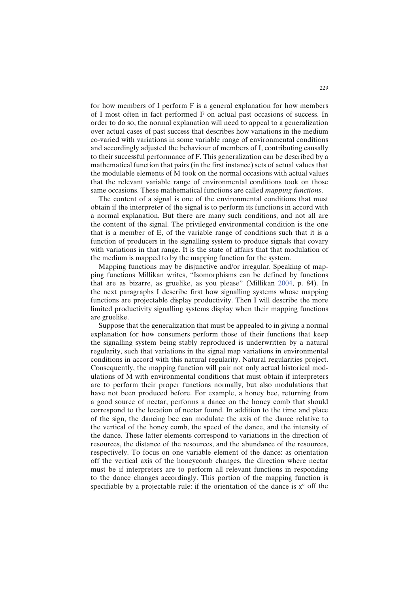for how members of I perform F is a general explanation for how members of I most often in fact performed F on actual past occasions of success. In order to do so, the normal explanation will need to appeal to a generalization over actual cases of past success that describes how variations in the medium co-varied with variations in some variable range of environmental conditions and accordingly adjusted the behaviour of members of I, contributing causally to their successful performance of F. This generalization can be described by a mathematical function that pairs (in the first instance) sets of actual values that the modulable elements of M took on the normal occasions with actual values that the relevant variable range of environmental conditions took on those same occasions. These mathematical functions are called *mapping functions*.

The content of a signal is one of the environmental conditions that must obtain if the interpreter of the signal is to perform its functions in accord with a normal explanation. But there are many such conditions, and not all are the content of the signal. The privileged environmental condition is the one that is a member of E, of the variable range of conditions such that it is a function of producers in the signalling system to produce signals that covary with variations in that range. It is the state of affairs that that modulation of the medium is mapped to by the mapping function for the system.

Mapping functions may be disjunctive and/or irregular. Speaking of mapping functions Millikan writes, "Isomorphisms can be defined by functions that are as bizarre, as gruelike, as you please" (Millikan 2004, p. 84). In the next paragraphs I describe first how signalling systems whose mapping functions are projectable display productivity. Then I will describe the more limited productivity signalling systems display when their mapping functions are gruelike.

Suppose that the generalization that must be appealed to in giving a normal explanation for how consumers perform those of their functions that keep the signalling system being stably reproduced is underwritten by a natural regularity, such that variations in the signal map variations in environmental conditions in accord with this natural regularity. Natural regularities project. Consequently, the mapping function will pair not only actual historical modulations of M with environmental conditions that must obtain if interpreters are to perform their proper functions normally, but also modulations that have not been produced before. For example, a honey bee, returning from a good source of nectar, performs a dance on the honey comb that should correspond to the location of nectar found. In addition to the time and place of the sign, the dancing bee can modulate the axis of the dance relative to the vertical of the honey comb, the speed of the dance, and the intensity of the dance. These latter elements correspond to variations in the direction of resources, the distance of the resources, and the abundance of the resources, respectively. To focus on one variable element of the dance: as orientation off the vertical axis of the honeycomb changes, the direction where nectar must be if interpreters are to perform all relevant functions in responding to the dance changes accordingly. This portion of the mapping function is specifiable by a projectable rule: if the orientation of the dance is  $x<sup>°</sup>$  off the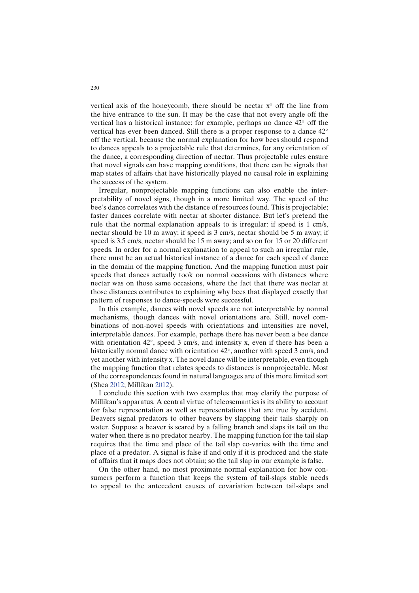vertical axis of the honeycomb, there should be nectar  $x<sup>°</sup>$  off the line from the hive entrance to the sun. It may be the case that not every angle off the vertical has a historical instance; for example, perhaps no dance 42◦ off the vertical has ever been danced. Still there is a proper response to a dance 42° off the vertical, because the normal explanation for how bees should respond to dances appeals to a projectable rule that determines, for any orientation of the dance, a corresponding direction of nectar. Thus projectable rules ensure that novel signals can have mapping conditions, that there can be signals that map states of affairs that have historically played no causal role in explaining the success of the system.

Irregular, nonprojectable mapping functions can also enable the interpretability of novel signs, though in a more limited way. The speed of the bee's dance correlates with the distance of resources found. This is projectable; faster dances correlate with nectar at shorter distance. But let's pretend the rule that the normal explanation appeals to is irregular: if speed is 1 cm/s, nectar should be 10 m away; if speed is 3 cm/s, nectar should be 5 m away; if speed is 3.5 cm/s, nectar should be 15 m away; and so on for 15 or 20 different speeds. In order for a normal explanation to appeal to such an irregular rule, there must be an actual historical instance of a dance for each speed of dance in the domain of the mapping function. And the mapping function must pair speeds that dances actually took on normal occasions with distances where nectar was on those same occasions, where the fact that there was nectar at those distances contributes to explaining why bees that displayed exactly that pattern of responses to dance-speeds were successful.

In this example, dances with novel speeds are not interpretable by normal mechanisms, though dances with novel orientations are. Still, novel combinations of non-novel speeds with orientations and intensities are novel, interpretable dances. For example, perhaps there has never been a bee dance with orientation 42◦, speed 3 cm/s, and intensity x, even if there has been a historically normal dance with orientation 42◦, another with speed 3 cm/s, and yet another with intensity x. The novel dance will be interpretable, even though the mapping function that relates speeds to distances is nonprojectable. Most of the correspondences found in natural languages are of this more limited sort (Shea 2012; Millikan 2012).

I conclude this section with two examples that may clarify the purpose of Millikan's apparatus. A central virtue of teleosemantics is its ability to account for false representation as well as representations that are true by accident. Beavers signal predators to other beavers by slapping their tails sharply on water. Suppose a beaver is scared by a falling branch and slaps its tail on the water when there is no predator nearby. The mapping function for the tail slap requires that the time and place of the tail slap co-varies with the time and place of a predator. A signal is false if and only if it is produced and the state of affairs that it maps does not obtain; so the tail slap in our example is false.

On the other hand, no most proximate normal explanation for how consumers perform a function that keeps the system of tail-slaps stable needs to appeal to the antecedent causes of covariation between tail-slaps and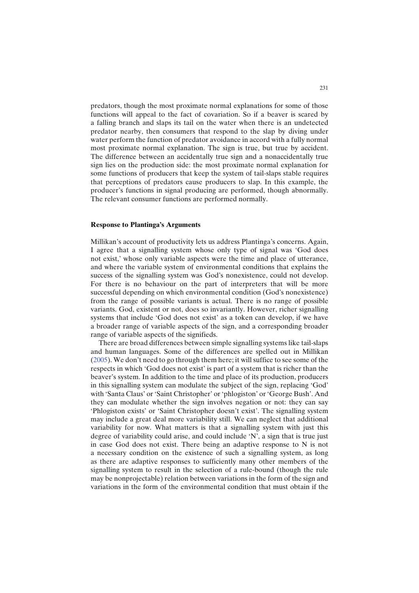predators, though the most proximate normal explanations for some of those functions will appeal to the fact of covariation. So if a beaver is scared by a falling branch and slaps its tail on the water when there is an undetected predator nearby, then consumers that respond to the slap by diving under water perform the function of predator avoidance in accord with a fully normal most proximate normal explanation. The sign is true, but true by accident. The difference between an accidentally true sign and a nonaccidentally true sign lies on the production side: the most proximate normal explanation for some functions of producers that keep the system of tail-slaps stable requires that perceptions of predators cause producers to slap. In this example, the producer's functions in signal producing are performed, though abnormally. The relevant consumer functions are performed normally.

#### **Response to Plantinga's Arguments**

Millikan's account of productivity lets us address Plantinga's concerns. Again, I agree that a signalling system whose only type of signal was 'God does not exist,' whose only variable aspects were the time and place of utterance, and where the variable system of environmental conditions that explains the success of the signalling system was God's nonexistence, could not develop. For there is no behaviour on the part of interpreters that will be more successful depending on which environmental condition (God's nonexistence) from the range of possible variants is actual. There is no range of possible variants. God, existent or not, does so invariantly. However, richer signalling systems that include 'God does not exist' as a token can develop, if we have a broader range of variable aspects of the sign, and a corresponding broader range of variable aspects of the signifieds.

There are broad differences between simple signalling systems like tail-slaps and human languages. Some of the differences are spelled out in Millikan (2005). We don't need to go through them here; it will suffice to see some of the respects in which 'God does not exist' is part of a system that is richer than the beaver's system. In addition to the time and place of its production, producers in this signalling system can modulate the subject of the sign, replacing 'God' with 'Santa Claus' or 'Saint Christopher' or 'phlogiston' or 'George Bush'. And they can modulate whether the sign involves negation or not: they can say 'Phlogiston exists' or 'Saint Christopher doesn't exist'. The signalling system may include a great deal more variability still. We can neglect that additional variability for now. What matters is that a signalling system with just this degree of variability could arise, and could include  $'N'$ , a sign that is true just in case God does not exist. There being an adaptive response to N is not a necessary condition on the existence of such a signalling system, as long as there are adaptive responses to sufficiently many other members of the signalling system to result in the selection of a rule-bound (though the rule may be nonprojectable) relation between variations in the form of the sign and variations in the form of the environmental condition that must obtain if the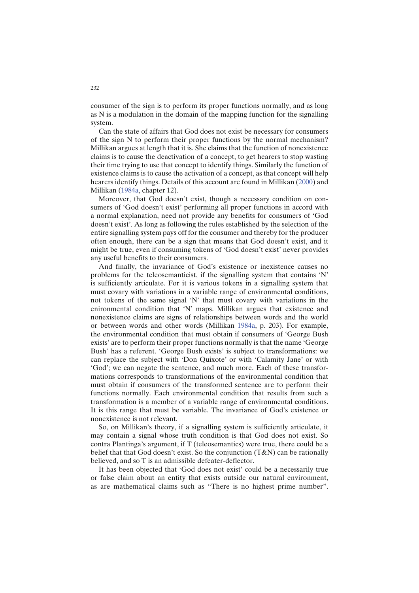consumer of the sign is to perform its proper functions normally, and as long as N is a modulation in the domain of the mapping function for the signalling system.

Can the state of affairs that God does not exist be necessary for consumers of the sign N to perform their proper functions by the normal mechanism? Millikan argues at length that it is. She claims that the function of nonexistence claims is to cause the deactivation of a concept, to get hearers to stop wasting their time trying to use that concept to identify things. Similarly the function of existence claims is to cause the activation of a concept, as that concept will help hearers identify things. Details of this account are found in Millikan (2000) and Millikan (1984a, chapter 12).

Moreover, that God doesn't exist, though a necessary condition on consumers of 'God doesn't exist' performing all proper functions in accord with a normal explanation, need not provide any benefits for consumers of 'God doesn't exist'. As long as following the rules established by the selection of the entire signalling system pays off for the consumer and thereby for the producer often enough, there can be a sign that means that God doesn't exist, and it might be true, even if consuming tokens of 'God doesn't exist' never provides any useful benefits to their consumers.

And finally, the invariance of God's existence or inexistence causes no problems for the teleosemanticist, if the signalling system that contains 'N' is sufficiently articulate. For it is various tokens in a signalling system that must covary with variations in a variable range of environmental conditions, not tokens of the same signal 'N' that must covary with variations in the enironmental condition that 'N' maps. Millikan argues that existence and nonexistence claims are signs of relationships between words and the world or between words and other words (Millikan 1984a, p. 203). For example, the environmental condition that must obtain if consumers of 'George Bush exists' are to perform their proper functions normally is that the name 'George Bush' has a referent. 'George Bush exists' is subject to transformations: we can replace the subject with 'Don Quixote' or with 'Calamity Jane' or with 'God'; we can negate the sentence, and much more. Each of these transformations corresponds to transformations of the environmental condition that must obtain if consumers of the transformed sentence are to perform their functions normally. Each environmental condition that results from such a transformation is a member of a variable range of environmental conditions. It is this range that must be variable. The invariance of God's existence or nonexistence is not relevant.

So, on Millikan's theory, if a signalling system is sufficiently articulate, it may contain a signal whose truth condition is that God does not exist. So contra Plantinga's argument, if T (teleosemantics) were true, there could be a belief that that God doesn't exist. So the conjunction (T&N) can be rationally believed, and so T is an admissible defeater-deflector.

It has been objected that 'God does not exist' could be a necessarily true or false claim about an entity that exists outside our natural environment, as are mathematical claims such as "There is no highest prime number".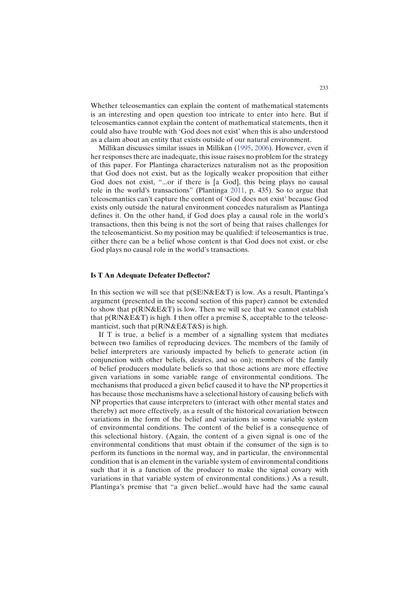Whether teleosemantics can explain the content of mathematical statements is an interesting and open question too intricate to enter into here. But if teleosemantics cannot explain the content of mathematical statements, then it could also have trouble with 'God does not exist' when this is also understood as a claim about an entity that exists outside of our natural environment.

Millikan discusses similar issues in Millikan (1995, 2006). However, even if her responses there are inadequate, this issue raises no problem for the strategy of this paper. For Plantinga characterizes naturalism not as the proposition that God does not exist, but as the logically weaker proposition that either God does not exist, "...or if there is [a God], this being plays no causal role in the world's transactions" (Plantinga 2011, p. 435). So to argue that teleosemantics can't capture the content of 'God does not exist' because God exists only outside the natural environment concedes naturalism as Plantinga defines it. On the other hand, if God does play a causal role in the world's transactions, then this being is not the sort of being that raises challenges for the teleosemanticist. So my position may be qualified: if teleosemantics is true, either there can be a belief whose content is that God does not exist, or else God plays no causal role in the world's transactions.

# **Is T An Adequate Defeater Deflector?**

In this section we will see that  $p(SEN&E&T)$  is low. As a result, Plantinga's argument (presented in the second section of this paper) cannot be extended to show that  $p(R|N&E&T)$  is low. Then we will see that we cannot establish that  $p(R|N&E&T)$  is high. I then offer a premise S, acceptable to the teleosemanticist, such that  $p(R|N&E&T&S)$  is high.

If T is true, a belief is a member of a signalling system that mediates between two families of reproducing devices. The members of the family of belief interpreters are variously impacted by beliefs to generate action (in conjunction with other beliefs, desires, and so on); members of the family of belief producers modulate beliefs so that those actions are more effective given variations in some variable range of environmental conditions. The mechanisms that produced a given belief caused it to have the NP properties it has because those mechanisms have a selectional history of causing beliefs with NP properties that cause interpreters to (interact with other mental states and thereby) act more effectively, as a result of the historical covariation between variations in the form of the belief and variations in some variable system of environmental conditions. The content of the belief is a consequence of this selectional history. (Again, the content of a given signal is one of the environmental conditions that must obtain if the consumer of the sign is to perform its functions in the normal way, and in particular, the environmental condition that is an element in the variable system of environmental conditions such that it is a function of the producer to make the signal covary with variations in that variable system of environmental conditions.) As a result, Plantinga's premise that "a given belief...would have had the same causal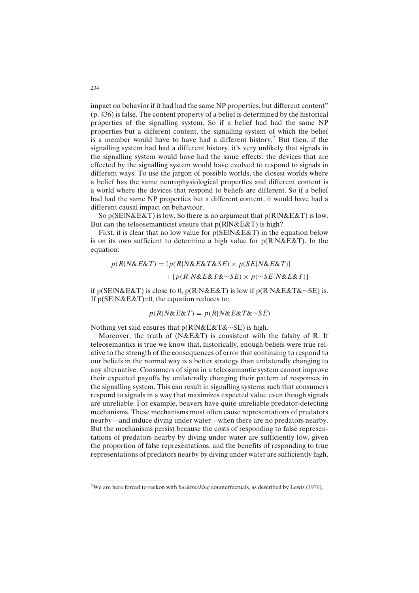impact on behavior if it had had the same NP properties, but different content" (p. 436) is false. The content property of a belief is determined by the historical properties of the signalling system. So if a belief had had the same NP properties but a different content, the signalling system of which the belief is a member would have to have had a different history.<sup>2</sup> But then, if the signalling system had had a different history, it's very unlikely that signals in the signalling system would have had the same effects: the devices that are effected by the signalling system would have evolved to respond to signals in different ways. To use the jargon of possible worlds, the closest worlds where a belief has the same neurophysiological properties and different content is a world where the devices that respond to beliefs are different. So if a belief had had the same NP properties but a different content, it would have had a different causal impact on behaviour.

So  $p(SEN&E&T)$  is low. So there is no argument that  $p(RIN&E&T)$  is low. But can the teleosemanticist ensure that  $p(R|N&E&T)$  is high?

First, it is clear that no low value for  $p(SE|N&E&T)$  in the equation below is on its own sufficient to determine a high value for  $p(R|N&E&T)$ . In the equation:

$$
p(R|N&E&T) = [p(R|N&E&T&SE) \times p(SE|N&E&T)]
$$

$$
+ [p(R|N&E&T& \sim s&E) \times p(\sim s&E|N&E&T)]
$$

if p(SE|N&E&T) is close to 0, p(R|N&E&T) is low if p(R|N&E&T&∼SE) is. If  $p(SEN&E&T)=0$ , the equation reduces to:

$$
p(R|N\&E\&T) = p(R|N\&E\&T\&\sim SE)
$$

Nothing yet said ensures that p(R|N&E&T&∼SE) is high.

Moreover, the truth of (N&E&T) is consistent with the falsity of R. If teleosemantics is true we know that, historically, enough beliefs were true relative to the strength of the consequences of error that continuing to respond to our beliefs in the normal way is a better strategy than unilaterally changing to any alternative. Consumers of signs in a teleosemantic system cannot improve their expected payoffs by unilaterally changing their pattern of responses in the signalling system. This can result in signalling systems such that consumers respond to signals in a way that maximizes expected value even though signals are unreliable. For example, beavers have quite unreliable predator-detecting mechanisms. These mechanisms most often cause representations of predators nearby—and induce diving under water—when there are no predators nearby. But the mechanisms persist because the costs of responding to false representations of predators nearby by diving under water are sufficiently low, given the proportion of false representations, and the benefits of responding to true representations of predators nearby by diving under water are sufficiently high,

234

<sup>2</sup>We are here forced to reckon with *backtracking* counterfactuals, as described by Lewis (1979).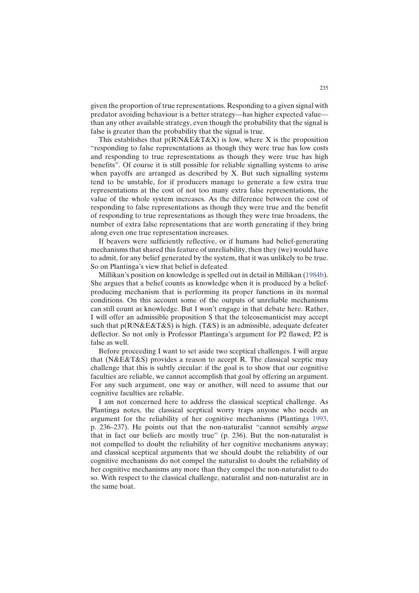given the proportion of true representations. Responding to a given signal with predator avoiding behaviour is a better strategy—has higher expected value than any other available strategy, even though the probability that the signal is false is greater than the probability that the signal is true.

This establishes that  $p(R|N&E&T&X)$  is low, where X is the proposition "responding to false representations as though they were true has low costs and responding to true representations as though they were true has high benefits". Of course it is still possible for reliable signalling systems to arise when payoffs are arranged as described by X. But such signalling systems tend to be unstable, for if producers manage to generate a few extra true representations at the cost of not too many extra false representations, the value of the whole system increases. As the difference between the cost of responding to false representations as though they were true and the benefit of responding to true representations as though they were true broadens, the number of extra false representations that are worth generating if they bring along even one true representation increases.

If beavers were sufficiently reflective, or if humans had belief-generating mechanisms that shared this feature of unreliability, then they (we) would have to admit, for any belief generated by the system, that it was unlikely to be true. So on Plantinga's view that belief is defeated.

Millikan's position on knowledge is spelled out in detail in Millikan (1984b). She argues that a belief counts as knowledge when it is produced by a beliefproducing mechanism that is performing its proper functions in its normal conditions. On this account some of the outputs of unreliable mechanisms can still count as knowledge. But I won't engage in that debate here. Rather, I will offer an admissible proposition S that the teleosemanticist may accept such that  $p(R|N&E&T&S)$  is high. (T&S) is an admissible, adequate defeater deflector. So not only is Professor Plantinga's argument for P2 flawed; P2 is false as well.

Before proceeding I want to set aside two sceptical challenges. I will argue that (N&E&T&S) provides a reason to accept R. The classical sceptic may challenge that this is subtly circular: if the goal is to show that our cognitive faculties are reliable, we cannot accomplish that goal by offering an argument. For any such argument, one way or another, will need to assume that our cognitive faculties are reliable.

I am not concerned here to address the classical sceptical challenge. As Plantinga notes, the classical sceptical worry traps anyone who needs an argument for the reliability of her cognitive mechanisms (Plantinga 1993, p. 236–237). He points out that the non-naturalist "cannot sensibly *argue* that in fact our beliefs are mostly true" (p. 236). But the non-naturalist is not compelled to doubt the reliability of her cognitive mechanisms anyway; and classical sceptical arguments that we should doubt the reliability of our cognitive mechanisms do not compel the naturalist to doubt the reliability of her cognitive mechanisms any more than they compel the non-naturalist to do so. With respect to the classical challenge, naturalist and non-naturalist are in the same boat.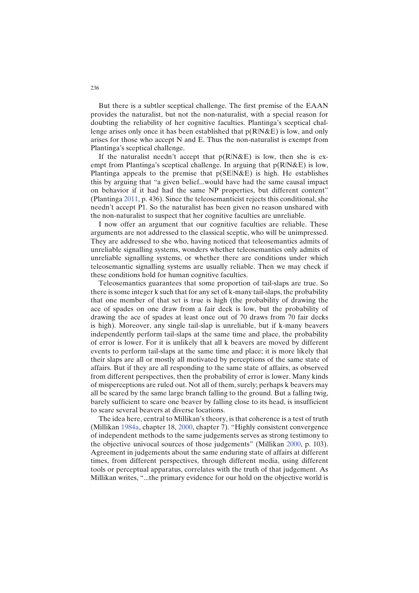But there is a subtler sceptical challenge. The first premise of the EAAN provides the naturalist, but not the non-naturalist, with a special reason for doubting the reliability of her cognitive faculties. Plantinga's sceptical challenge arises only once it has been established that  $p(R|N\&E)$  is low, and only arises for those who accept N and E. Thus the non-naturalist is exempt from Plantinga's sceptical challenge.

If the naturalist needn't accept that  $p(R|N\&E)$  is low, then she is exempt from Plantinga's sceptical challenge. In arguing that  $p(R|N&E)$  is low, Plantinga appeals to the premise that  $p(SE|N&E)$  is high. He establishes this by arguing that "a given belief...would have had the same causal impact on behavior if it had had the same NP properties, but different content" (Plantinga 2011, p. 436). Since the teleosemanticist rejects this conditional, she needn't accept P1. So the naturalist has been given no reason unshared with the non-naturalist to suspect that her cognitive faculties are unreliable.

I now offer an argument that our cognitive faculties are reliable. These arguments are not addressed to the classical sceptic, who will be unimpressed. They are addressed to she who, having noticed that teleosemantics admits of unreliable signalling systems, wonders whether teleosemantics only admits of unreliable signalling systems, or whether there are conditions under which teleosemantic signalling systems are usually reliable. Then we may check if these conditions hold for human cognitive faculties.

Teleosemantics guarantees that some proportion of tail-slaps are true. So there is some integer k such that for any set of k-many tail-slaps, the probability that one member of that set is true is high (the probability of drawing the ace of spades on one draw from a fair deck is low, but the probability of drawing the ace of spades at least once out of 70 draws from 70 fair decks is high). Moreover, any single tail-slap is unreliable, but if k-many beavers independently perform tail-slaps at the same time and place, the probability of error is lower. For it is unlikely that all k beavers are moved by different events to perform tail-slaps at the same time and place; it is more likely that their slaps are all or mostly all motivated by perceptions of the same state of affairs. But if they are all responding to the same state of affairs, as observed from different perspectives, then the probability of error is lower. Many kinds of misperceptions are ruled out. Not all of them, surely; perhaps k beavers may all be scared by the same large branch falling to the ground. But a falling twig, barely sufficient to scare one beaver by falling close to its head, is insufficient to scare several beavers at diverse locations.

The idea here, central to Millikan's theory, is that coherence is a test of truth (Millikan 1984a, chapter 18, 2000, chapter 7). "Highly consistent convergence of independent methods to the same judgements serves as strong testimony to the objective univocal sources of those judgements" (Millikan 2000, p. 103). Agreement in judgements about the same enduring state of affairs at different times, from different perspectives, through different media, using different tools or perceptual apparatus, correlates with the truth of that judgement. As Millikan writes, "...the primary evidence for our hold on the objective world is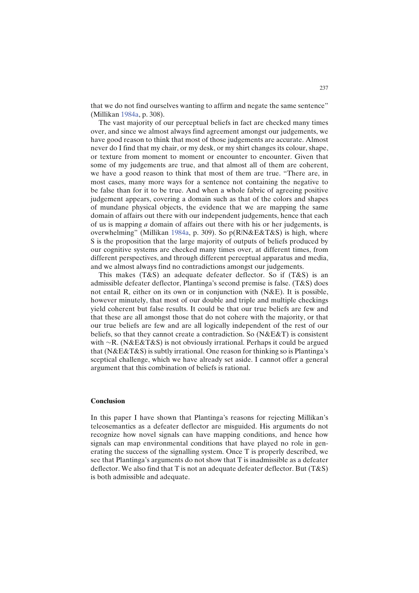that we do not find ourselves wanting to affirm and negate the same sentence" (Millikan 1984a, p. 308).

The vast majority of our perceptual beliefs in fact are checked many times over, and since we almost always find agreement amongst our judgements, we have good reason to think that most of those judgements are accurate. Almost never do I find that my chair, or my desk, or my shirt changes its colour, shape, or texture from moment to moment or encounter to encounter. Given that some of my judgements are true, and that almost all of them are coherent, we have a good reason to think that most of them are true. "There are, in most cases, many more ways for a sentence not containing the negative to be false than for it to be true. And when a whole fabric of agreeing positive judgement appears, covering a domain such as that of the colors and shapes of mundane physical objects, the evidence that we are mapping the same domain of affairs out there with our independent judgements, hence that each of us is mapping *a* domain of affairs out there with his or her judgements, is overwhelming" (Millikan 1984a, p. 309). So p(R|N&E&T&S) is high, where S is the proposition that the large majority of outputs of beliefs produced by our cognitive systems are checked many times over, at different times, from different perspectives, and through different perceptual apparatus and media, and we almost always find no contradictions amongst our judgements.

This makes (T&S) an adequate defeater deflector. So if (T&S) is an admissible defeater deflector, Plantinga's second premise is false. (T&S) does not entail R, either on its own or in conjunction with (N&E). It is possible, however minutely, that most of our double and triple and multiple checkings yield coherent but false results. It could be that our true beliefs are few and that these are all amongst those that do not cohere with the majority, or that our true beliefs are few and are all logically independent of the rest of our beliefs, so that they cannot create a contradiction. So  $(N&E&T)$  is consistent with ∼R. (N&E&T&S) is not obviously irrational. Perhaps it could be argued that (N&E&T&S) is subtly irrational. One reason for thinking so is Plantinga's sceptical challenge, which we have already set aside. I cannot offer a general argument that this combination of beliefs is rational.

### **Conclusion**

In this paper I have shown that Plantinga's reasons for rejecting Millikan's teleosemantics as a defeater deflector are misguided. His arguments do not recognize how novel signals can have mapping conditions, and hence how signals can map environmental conditions that have played no role in generating the success of the signalling system. Once T is properly described, we see that Plantinga's arguments do not show that T is inadmissible as a defeater deflector. We also find that T is not an adequate defeater deflector. But (T&S) is both admissible and adequate.